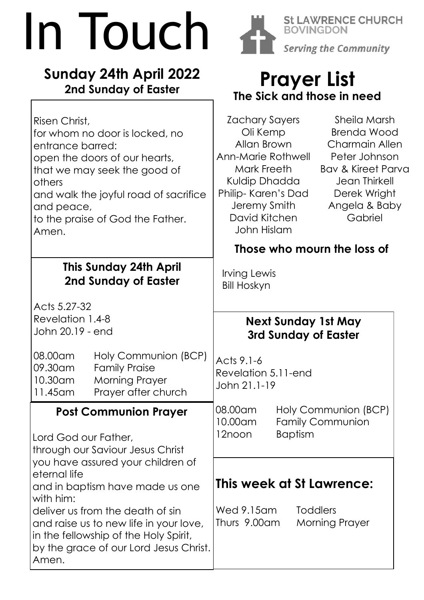# In Touch

### **Sunday 24th April 2022 2nd Sunday of Easter**



**St LAWRENCE CHURCH BOVINGDON Serving the Community** 

## **Prayer List The Sick and those in need**

| Risen Christ,<br>for whom no door is locked, no<br>entrance barred:<br>open the doors of our hearts,<br>that we may seek the good of<br>others<br>and walk the joyful road of sacrifice<br>and peace,<br>to the praise of God the Father.<br>Amen.                                                                                                                      | Zachary Sayers<br>Sheila Marsh<br><b>Brenda Wood</b><br>Oli Kemp<br>Allan Brown<br><b>Charmain Allen</b><br><b>Ann-Marie Rothwell</b><br>Peter Johnson<br>Mark Freeth<br><b>Bav &amp; Kireet Parva</b><br>Kuldip Dhadda<br><b>Jean Thirkell</b><br>Philip-Karen's Dad<br>Derek Wright<br>Jeremy Smith<br>Angela & Baby<br>David Kitchen<br>Gabriel<br>John Hislam |
|-------------------------------------------------------------------------------------------------------------------------------------------------------------------------------------------------------------------------------------------------------------------------------------------------------------------------------------------------------------------------|-------------------------------------------------------------------------------------------------------------------------------------------------------------------------------------------------------------------------------------------------------------------------------------------------------------------------------------------------------------------|
|                                                                                                                                                                                                                                                                                                                                                                         | Those who mourn the loss of                                                                                                                                                                                                                                                                                                                                       |
| <b>This Sunday 24th April</b><br>2nd Sunday of Easter                                                                                                                                                                                                                                                                                                                   | Irving Lewis<br><b>Bill Hoskyn</b>                                                                                                                                                                                                                                                                                                                                |
| Acts 5.27-32<br>Revelation 1.4-8<br>John 20.19 - end                                                                                                                                                                                                                                                                                                                    | <b>Next Sunday 1st May</b><br>3rd Sunday of Easter                                                                                                                                                                                                                                                                                                                |
| 08.00am<br>Holy Communion (BCP)<br>09.30am<br><b>Family Praise</b><br>10.30am<br><b>Morning Prayer</b><br>Prayer after church<br>11.45 am                                                                                                                                                                                                                               | Acts 9.1-6<br>Revelation 5.11-end<br>John 21.1-19                                                                                                                                                                                                                                                                                                                 |
| <b>Post Communion Prayer</b><br>Lord God our Father,<br>through our Saviour Jesus Christ<br>you have assured your children of<br>eternal life<br>and in baptism have made us one<br>with him:<br>deliver us from the death of sin<br>and raise us to new life in your love,<br>in the fellowship of the Holy Spirit,<br>by the grace of our Lord Jesus Christ.<br>Amen. | 08.00am<br>Holy Communion (BCP)<br>10.00am<br><b>Family Communion</b><br>12noon<br><b>Baptism</b>                                                                                                                                                                                                                                                                 |
|                                                                                                                                                                                                                                                                                                                                                                         | This week at St Lawrence:<br>Wed 9.15am<br><b>Toddlers</b><br>Thurs 9.00am<br><b>Morning Prayer</b>                                                                                                                                                                                                                                                               |